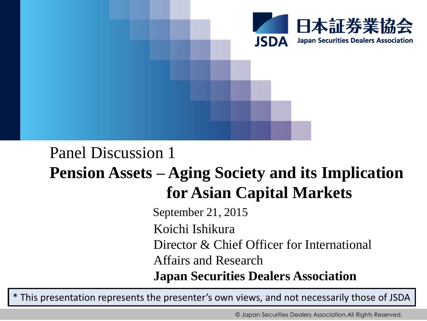

# Panel Discussion 1 **Pension Assets – Aging Society and its Implication for Asian Capital Markets**

September 21, 2015 Koichi Ishikura Director & Chief Officer for International Affairs and Research **Japan Securities Dealers Association**

\* This presentation represents the presenter's own views, and not necessarily those of JSDA

© Japan Securities Dealers Association.All Rights Reserved.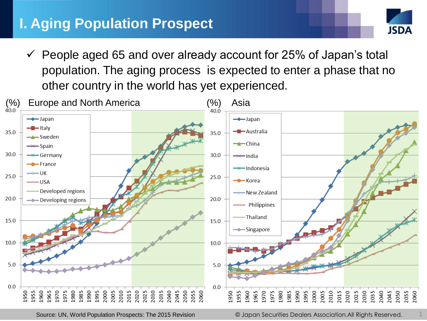# **I. Aging Population Prospect**



 $\checkmark$  People aged 65 and over already account for 25% of Japan's total population. The aging process is expected to enter a phase that no other country in the world has yet experienced.



Source: UN, World Population Prospects: The 2015 Revision

© Japan Securities Dealers Association.All Rights Reserved. 1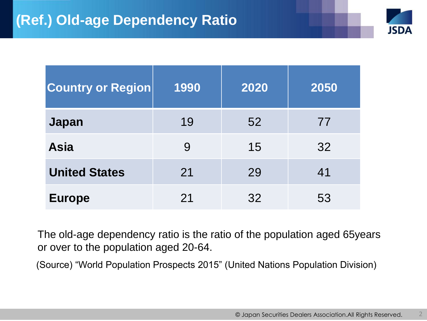

| <b>Country or Region</b> | 1990 | 2020 | 2050 |
|--------------------------|------|------|------|
| <b>Japan</b>             | 19   | 52   | 77   |
| <b>Asia</b>              | 9    | 15   | 32   |
| <b>United States</b>     | 21   | 29   | 41   |
| <b>Europe</b>            | 21   | 32   | 53   |

The old-age dependency ratio is the ratio of the population aged 65years or over to the population aged 20-64.

(Source) "World Population Prospects 2015" (United Nations Population Division)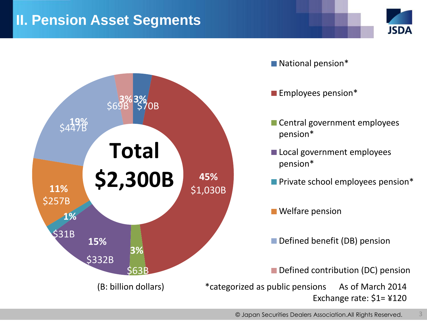## **II. Pension Asset Segments**





3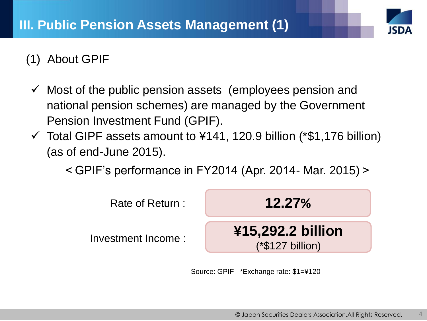

## (1) About GPIF

- $\checkmark$  Most of the public pension assets (employees pension and national pension schemes) are managed by the Government Pension Investment Fund (GPIF).
- $\checkmark$  Total GIPF assets amount to  $\checkmark$  4141, 120.9 billion (\*\$1,176 billion) (as of end-June 2015).

<GPIF's performance in FY2014 (Apr. 2014- Mar. 2015)>



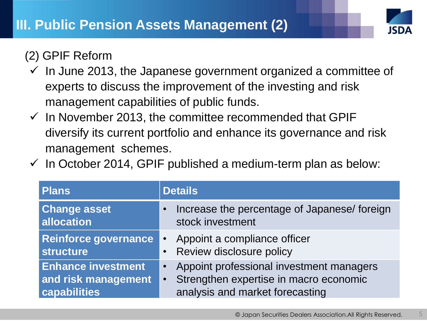

## (2) GPIF Reform

- $\checkmark$  In June 2013, the Japanese government organized a committee of experts to discuss the improvement of the investing and risk management capabilities of public funds.
- $\checkmark$  In November 2013, the committee recommended that GPIF diversify its current portfolio and enhance its governance and risk management schemes.
- $\checkmark$  In October 2014, GPIF published a medium-term plan as below:

| Plans                                                            | <b>Details</b>                                                                                                                                  |  |  |
|------------------------------------------------------------------|-------------------------------------------------------------------------------------------------------------------------------------------------|--|--|
| <b>Change asset</b><br>allocation                                | Increase the percentage of Japanese/ foreign<br>$\bullet$<br>stock investment                                                                   |  |  |
| Reinforce governance<br><b>structure</b>                         | Appoint a compliance officer<br>$\bullet$<br>• Review disclosure policy                                                                         |  |  |
| <b>Enhance investment</b><br>and risk management<br>capabilities | Appoint professional investment managers<br>$\bullet$<br>Strengthen expertise in macro economic<br>$\bullet$<br>analysis and market forecasting |  |  |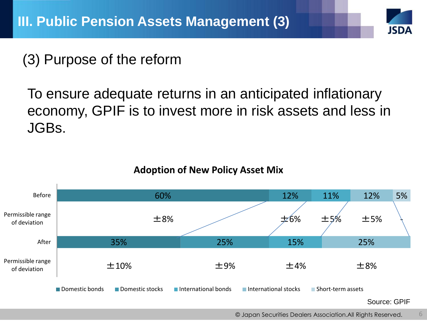# **ISD/**

# (3) Purpose of the reform

To ensure adequate returns in an anticipated inflationary economy, GPIF is to invest more in risk assets and less in JGBs.



#### **Adoption of New Policy Asset Mix**

© Japan Securities Dealers Association.All Rights Reserved. 6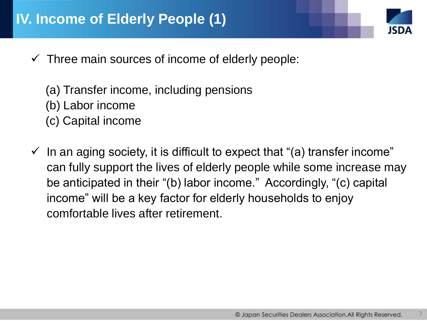- $\checkmark$  Three main sources of income of elderly people:
	- (a) Transfer income, including pensions (b) Labor income
	- (c) Capital income
- $\checkmark$  In an aging society, it is difficult to expect that "(a) transfer income" can fully support the lives of elderly people while some increase may be anticipated in their "(b) labor income." Accordingly, "(c) capital income" will be a key factor for elderly households to enjoy comfortable lives after retirement.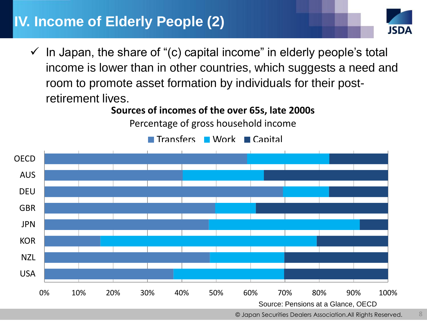# **IV. Income of Elderly People (2)**



 $\checkmark$  In Japan, the share of "(c) capital income" in elderly people's total income is lower than in other countries, which suggests a need and room to promote asset formation by individuals for their postretirement lives.

**Sources of incomes of the over 65s, late 2000s**

Percentage of gross household income



Transfers Work Capital

<sup>©</sup> Japan Securities Dealers Association.All Rights Reserved. 8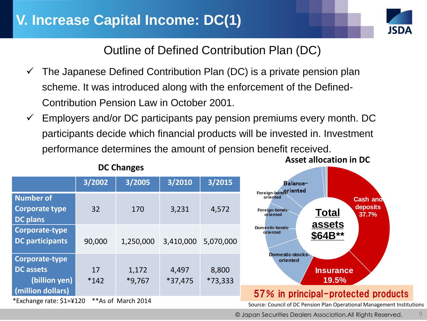![](_page_9_Picture_1.jpeg)

Outline of Defined Contribution Plan (DC)

- $\checkmark$  The Japanese Defined Contribution Plan (DC) is a private pension plan scheme. It was introduced along with the enforcement of the Defined-Contribution Pension Law in October 2001.
- Employers and/or DC participants pay pension premiums every month. DC participants decide which financial products will be invested in. Investment performance determines the amount of pension benefit received.

|                                                       | 3/2002       | 3/2005             | 3/2010             | 3/2015             | Balance-                                                                                                               |
|-------------------------------------------------------|--------------|--------------------|--------------------|--------------------|------------------------------------------------------------------------------------------------------------------------|
| Number of<br><b>Corporate type</b><br><b>DC</b> plans | 32           | 170                | 3,231              | 4,572              | Foreign-bondgriented<br>oriented<br><b>Cash and</b><br>deposits<br>Foreign-bonds-<br><b>Total</b><br>37.7%<br>oriented |
| Corporate-type<br><b>DC</b> participants              | 90,000       | 1,250,000          | 3,410,000          | 5,070,000          | assets<br>Domestic-bonds-<br>oriented<br>\$64B**                                                                       |
| Corporate-type<br>DC assets<br>(billion yen)          | 17<br>$*142$ | 1,172<br>$*9,767$  | 4,497<br>$*37,475$ | 8,800<br>$*73,333$ | Domestic-stocks-<br>oriented<br><b>Insurance</b><br>19.5%                                                              |
| (million dollars)<br>*Exchange rate: \$1=¥120         |              | **As of March 2014 |                    |                    | 57% in principal-protected products<br>Source: Council of DC Pension Plan Operational Management Institu               |

#### **DC Changes**

Source: Council of DC Pension Plan Operational Management Institutions

© Japan Securities Dealers Association.All Rights Reserved.

**Asset allocation in DC**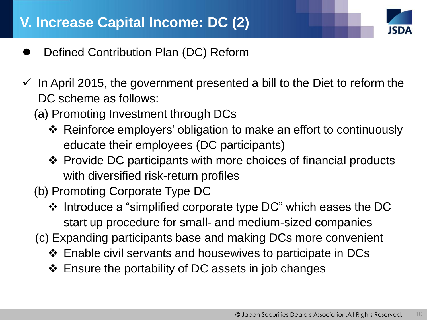![](_page_10_Picture_1.jpeg)

- Defined Contribution Plan (DC) Reform
- $\checkmark$  In April 2015, the government presented a bill to the Diet to reform the DC scheme as follows:
	- (a) Promoting Investment through DCs
		- Reinforce employers' obligation to make an effort to continuously educate their employees (DC participants)
		- Provide DC participants with more choices of financial products with diversified risk-return profiles
	- (b) Promoting Corporate Type DC
		- $\cdot$  Introduce a "simplified corporate type DC" which eases the DC start up procedure for small- and medium-sized companies
	- (c) Expanding participants base and making DCs more convenient
		- Enable civil servants and housewives to participate in DCs
		- ❖ Ensure the portability of DC assets in job changes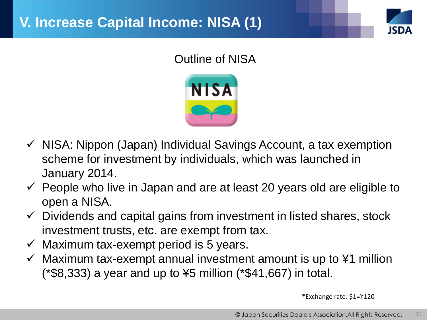![](_page_11_Picture_1.jpeg)

## Outline of NISA

![](_page_11_Picture_3.jpeg)

- $\checkmark$  NISA: <u>Nippon (Japan) Individual Savings Account</u>, a tax exemption scheme for investment by individuals, which was launched in January 2014.
- $\checkmark$  People who live in Japan and are at least 20 years old are eligible to open a NISA.
- $\checkmark$  Dividends and capital gains from investment in listed shares, stock investment trusts, etc. are exempt from tax.
- $\checkmark$  Maximum tax-exempt period is 5 years.
- $\checkmark$  Maximum tax-exempt annual investment amount is up to ¥1 million (\*\$8,333) a year and up to ¥5 million (\*\$41,667) in total.

\*Exchange rate: \$1=¥120